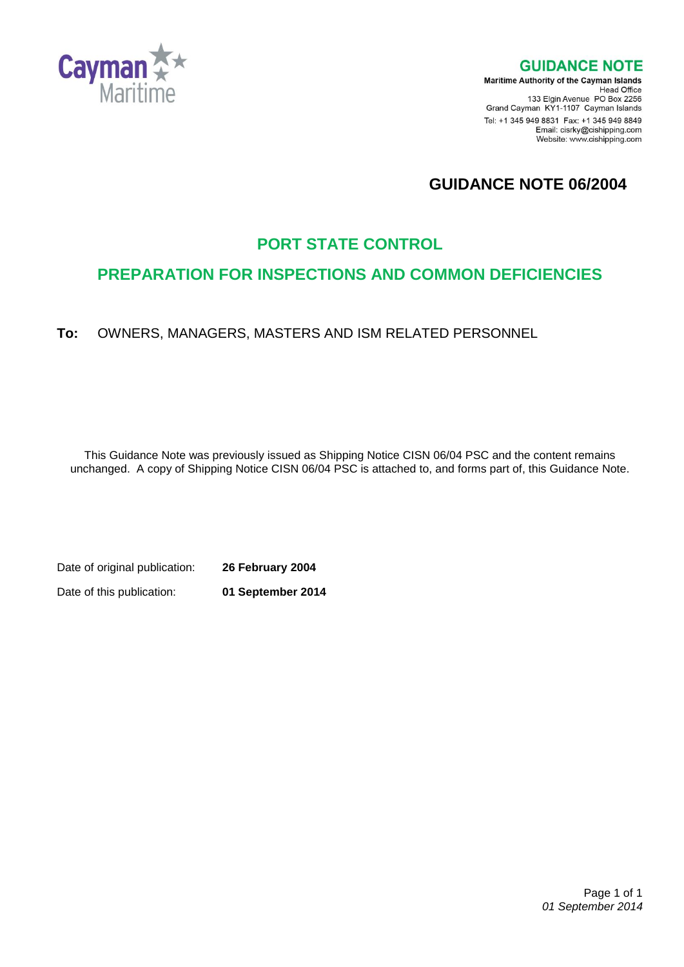

**GUIDANCE NOTE** 

**Maritime Authority of the Cayman Islands** Head Office<br>Head Office<br>133 Elgin Avenue PO Box 2256 Grand Cayman KY1-1107 Cayman Islands Tel: +1 345 949 8831 Fax: +1 345 949 8849 Email: cisrky@cishipping.com Website: www.cishipping.com

# **GUIDANCE NOTE 06/2004**

## **PORT STATE CONTROL**

## **PREPARATION FOR INSPECTIONS AND COMMON DEFICIENCIES**

**To:** OWNERS, MANAGERS, MASTERS AND ISM RELATED PERSONNEL

This Guidance Note was previously issued as Shipping Notice CISN 06/04 PSC and the content remains unchanged. A copy of Shipping Notice CISN 06/04 PSC is attached to, and forms part of, this Guidance Note.

Date of original publication: **26 February 2004**

Date of this publication: **01 September 2014**

 Page 1 of 1 *01 September 2014*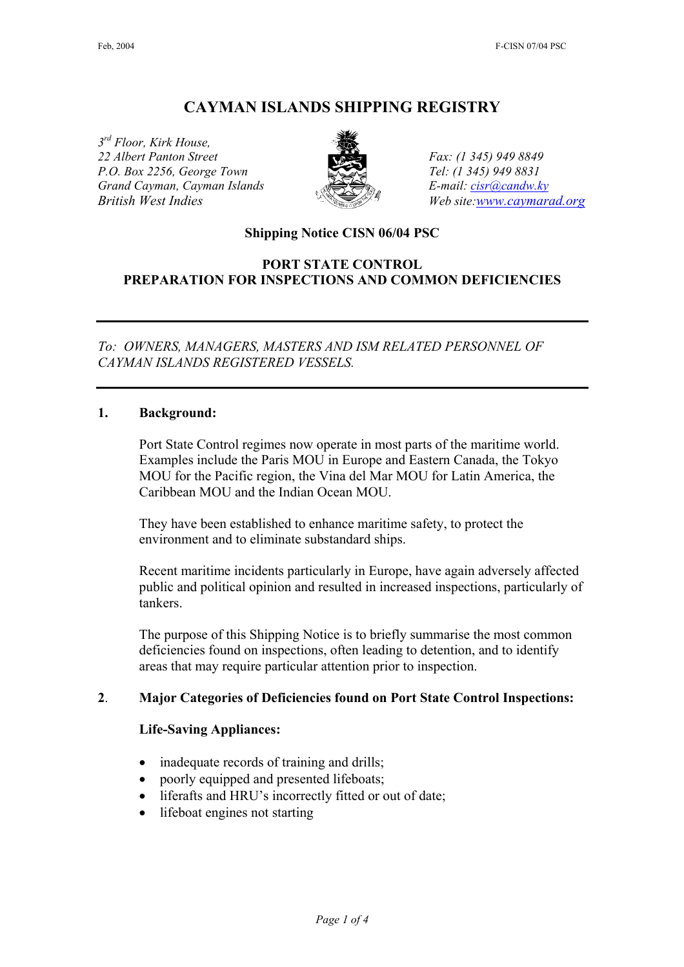## **CAYMAN ISLANDS SHIPPING REGISTRY**

*3rd Floor, Kirk House, 22 Albert Panton Street Fax: (1 345) 949 8849 P.O. Box 2256, George Town Tel: (1 345) 949 8831 Grand Cayman, Cayman Islands E-mail: [cisr@candw.ky](mailto:cisr@candw.ky) British West Indies* Web site[:www.caymarad.org](http://www.caymard.org/)



#### **Shipping Notice CISN 06/04 PSC**

#### **PORT STATE CONTROL PREPARATION FOR INSPECTIONS AND COMMON DEFICIENCIES**

*To: OWNERS, MANAGERS, MASTERS AND ISM RELATED PERSONNEL OF CAYMAN ISLANDS REGISTERED VESSELS.* 

#### **1. Background:**

Port State Control regimes now operate in most parts of the maritime world. Examples include the Paris MOU in Europe and Eastern Canada, the Tokyo MOU for the Pacific region, the Vina del Mar MOU for Latin America, the Caribbean MOU and the Indian Ocean MOU.

They have been established to enhance maritime safety, to protect the environment and to eliminate substandard ships.

Recent maritime incidents particularly in Europe, have again adversely affected public and political opinion and resulted in increased inspections, particularly of tankers.

The purpose of this Shipping Notice is to briefly summarise the most common deficiencies found on inspections, often leading to detention, and to identify areas that may require particular attention prior to inspection.

#### **2**. **Major Categories of Deficiencies found on Port State Control Inspections:**

#### **Life-Saving Appliances:**

- inadequate records of training and drills;
- poorly equipped and presented lifeboats;
- liferafts and HRU's incorrectly fitted or out of date;
- lifeboat engines not starting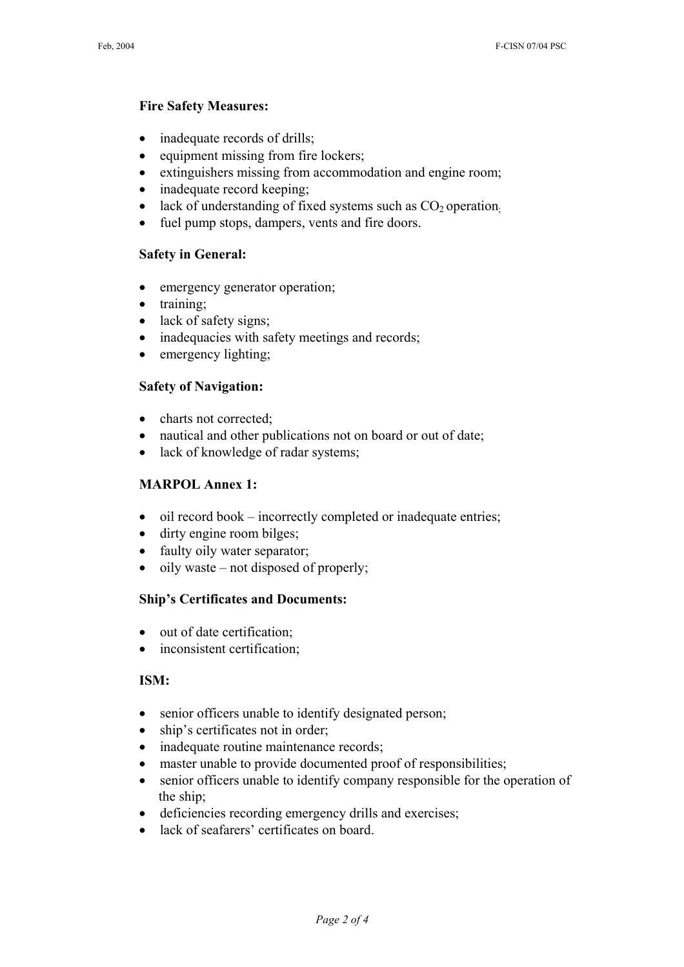#### **Fire Safety Measures:**

- inadequate records of drills;
- equipment missing from fire lockers;
- extinguishers missing from accommodation and engine room;
- inadequate record keeping;
- lack of understanding of fixed systems such as  $CO<sub>2</sub>$  operation.
- fuel pump stops, dampers, vents and fire doors.

### **Safety in General:**

- emergency generator operation;
- training;
- lack of safety signs;
- inadequacies with safety meetings and records;
- emergency lighting;

### **Safety of Navigation:**

- charts not corrected;
- nautical and other publications not on board or out of date;
- lack of knowledge of radar systems;

#### **MARPOL Annex 1:**

- oil record book incorrectly completed or inadequate entries;
- dirty engine room bilges;
- faulty oily water separator;
- oily waste not disposed of properly;

#### **Ship's Certificates and Documents:**

- out of date certification;
- inconsistent certification;

#### **ISM:**

- senior officers unable to identify designated person;
- ship's certificates not in order;
- inadequate routine maintenance records;
- master unable to provide documented proof of responsibilities;
- senior officers unable to identify company responsible for the operation of the ship;
- deficiencies recording emergency drills and exercises;
- lack of seafarers' certificates on board.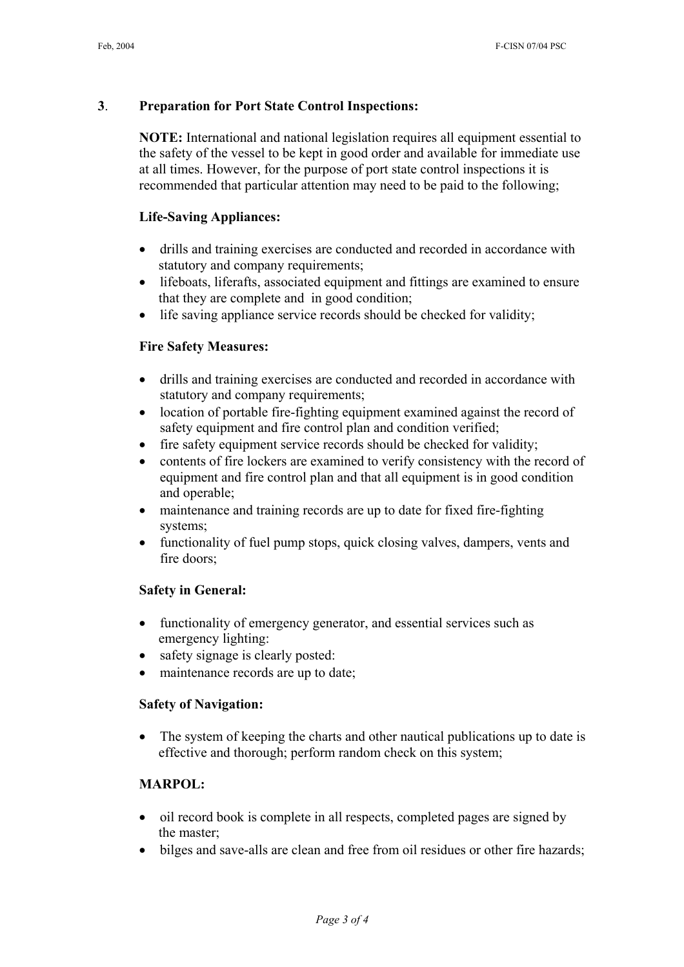### **3**. **Preparation for Port State Control Inspections:**

**NOTE:** International and national legislation requires all equipment essential to the safety of the vessel to be kept in good order and available for immediate use at all times. However, for the purpose of port state control inspections it is recommended that particular attention may need to be paid to the following;

### **Life-Saving Appliances:**

- drills and training exercises are conducted and recorded in accordance with statutory and company requirements;
- lifeboats, liferafts, associated equipment and fittings are examined to ensure that they are complete and in good condition;
- life saving appliance service records should be checked for validity;

### **Fire Safety Measures:**

- drills and training exercises are conducted and recorded in accordance with statutory and company requirements;
- location of portable fire-fighting equipment examined against the record of safety equipment and fire control plan and condition verified;
- fire safety equipment service records should be checked for validity;
- contents of fire lockers are examined to verify consistency with the record of equipment and fire control plan and that all equipment is in good condition and operable;
- maintenance and training records are up to date for fixed fire-fighting systems;
- functionality of fuel pump stops, quick closing valves, dampers, vents and fire doors;

#### **Safety in General:**

- functionality of emergency generator, and essential services such as emergency lighting:
- safety signage is clearly posted:
- maintenance records are up to date;

#### **Safety of Navigation:**

• The system of keeping the charts and other nautical publications up to date is effective and thorough; perform random check on this system;

### **MARPOL:**

- oil record book is complete in all respects, completed pages are signed by the master;
- bilges and save-alls are clean and free from oil residues or other fire hazards;